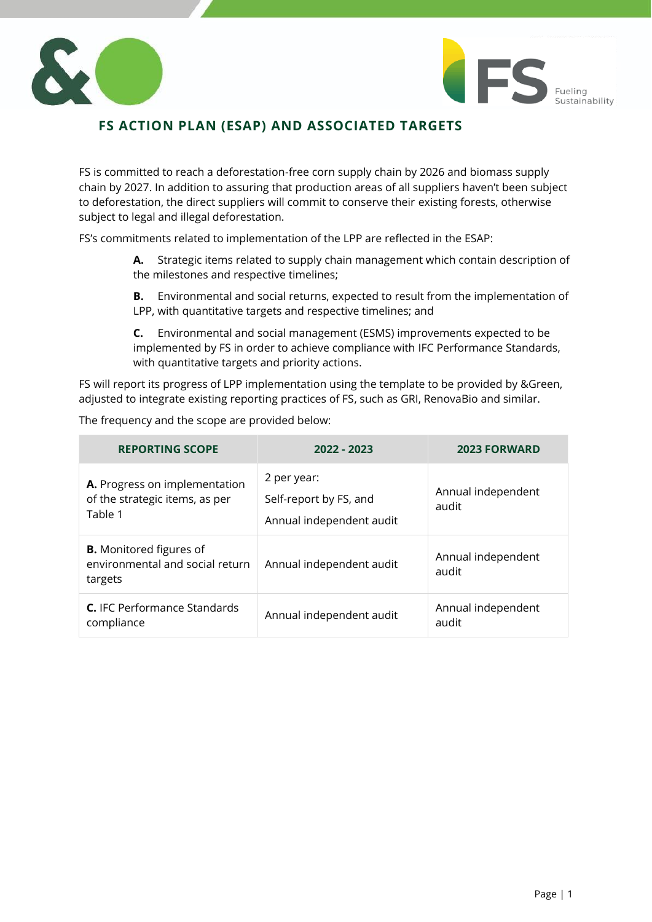



# **FS ACTION PLAN (ESAP) AND ASSOCIATED TARGETS**

FS is committed to reach a deforestation-free corn supply chain by 2026 and biomass supply chain by 2027. In addition to assuring that production areas of all suppliers haven't been subject to deforestation, the direct suppliers will commit to conserve their existing forests, otherwise subject to legal and illegal deforestation.

FS's commitments related to implementation of the LPP are reflected in the ESAP:

- **A.** Strategic items related to supply chain management which contain description of the milestones and respective timelines;
- **B.** Environmental and social returns, expected to result from the implementation of LPP, with quantitative targets and respective timelines; and
- **C.** Environmental and social management (ESMS) improvements expected to be implemented by FS in order to achieve compliance with IFC Performance Standards, with quantitative targets and priority actions.

FS will report its progress of LPP implementation using the template to be provided by &Green, adjusted to integrate existing reporting practices of FS, such as GRI, RenovaBio and similar.

| The mediather and the sespe are provided below.                              |                                                                   |                             |  |  |  |  |  |  |
|------------------------------------------------------------------------------|-------------------------------------------------------------------|-----------------------------|--|--|--|--|--|--|
| <b>REPORTING SCOPE</b>                                                       | 2022 - 2023                                                       | <b>2023 FORWARD</b>         |  |  |  |  |  |  |
| A. Progress on implementation<br>of the strategic items, as per<br>Table 1   | 2 per year:<br>Self-report by FS, and<br>Annual independent audit | Annual independent<br>audit |  |  |  |  |  |  |
| <b>B.</b> Monitored figures of<br>environmental and social return<br>targets | Annual independent audit                                          | Annual independent<br>audit |  |  |  |  |  |  |
| C. IFC Performance Standards<br>compliance                                   | Annual independent audit                                          | Annual independent<br>audit |  |  |  |  |  |  |

The frequency and the scope are provided below: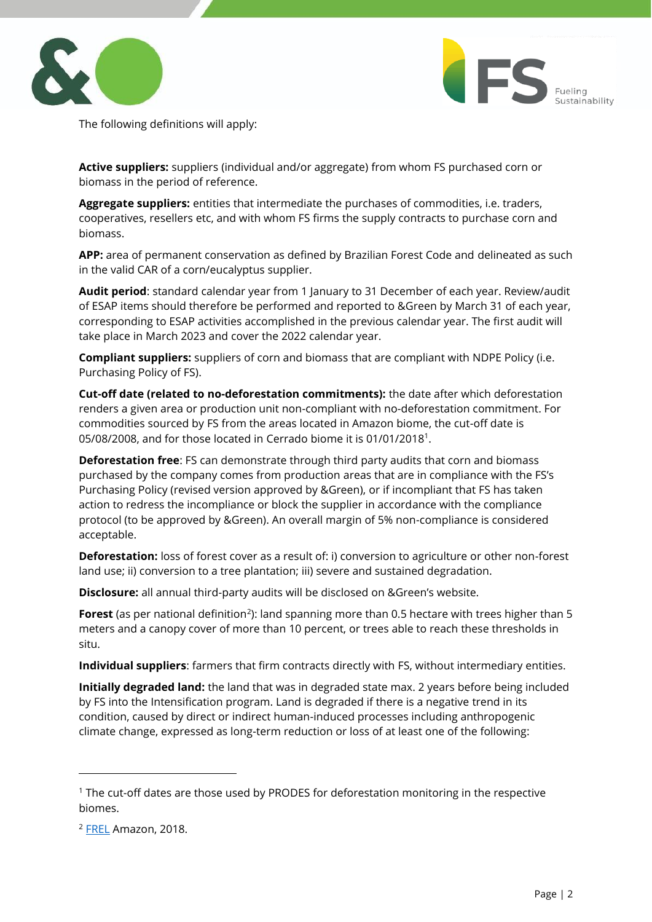



The following definitions will apply:

**Active suppliers:** suppliers (individual and/or aggregate) from whom FS purchased corn or biomass in the period of reference.

**Aggregate suppliers:** entities that intermediate the purchases of commodities, i.e. traders, cooperatives, resellers etc, and with whom FS firms the supply contracts to purchase corn and biomass.

**APP:** area of permanent conservation as defined by Brazilian Forest Code and delineated as such in the valid CAR of a corn/eucalyptus supplier.

**Audit period**: standard calendar year from 1 January to 31 December of each year. Review/audit of ESAP items should therefore be performed and reported to &Green by March 31 of each year, corresponding to ESAP activities accomplished in the previous calendar year. The first audit will take place in March 2023 and cover the 2022 calendar year.

**Compliant suppliers:** suppliers of corn and biomass that are compliant with NDPE Policy (i.e. Purchasing Policy of FS).

**Cut-off date (related to no-deforestation commitments):** the date after which deforestation renders a given area or production unit non-compliant with no-deforestation commitment. For commodities sourced by FS from the areas located in Amazon biome, the cut-off date is 05/08/2008, and for those located in Cerrado biome it is 01/01/2018<sup>1</sup>.

**Deforestation free**: FS can demonstrate through third party audits that corn and biomass purchased by the company comes from production areas that are in compliance with the FS's Purchasing Policy (revised version approved by &Green), or if incompliant that FS has taken action to redress the incompliance or block the supplier in accordance with the compliance protocol (to be approved by &Green). An overall margin of 5% non-compliance is considered acceptable.

**Deforestation:** loss of forest cover as a result of: i) conversion to agriculture or other non-forest land use; ii) conversion to a tree plantation; iii) severe and sustained degradation.

**Disclosure:** all annual third-party audits will be disclosed on &Green's website.

Forest (as per national definition<sup>2</sup>): land spanning more than 0.5 hectare with trees higher than 5 meters and a canopy cover of more than 10 percent, or trees able to reach these thresholds in situ.

**Individual suppliers**: farmers that firm contracts directly with FS, without intermediary entities.

**Initially degraded land:** the land that was in degraded state max. 2 years before being included by FS into the Intensification program. Land is degraded if there is a negative trend in its condition, caused by direct or indirect human-induced processes including anthropogenic climate change, expressed as long-term reduction or loss of at least one of the following:

<sup>&</sup>lt;sup>1</sup> The cut-off dates are those used by PRODES for deforestation monitoring in the respective biomes.

<sup>&</sup>lt;sup>2</sup> [FREL](https://redd.unfccc.int/files/2018_frel_submission_brazil.pdf) Amazon, 2018.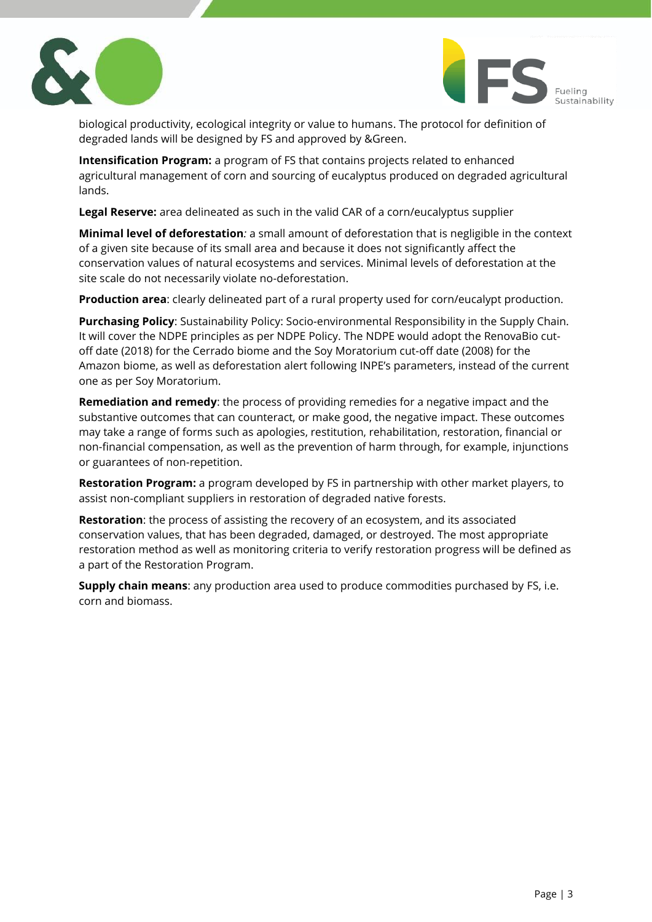



biological productivity, ecological integrity or value to humans. The protocol for definition of degraded lands will be designed by FS and approved by &Green.

**Intensification Program:** a program of FS that contains projects related to enhanced agricultural management of corn and sourcing of eucalyptus produced on degraded agricultural lands.

**Legal Reserve:** area delineated as such in the valid CAR of a corn/eucalyptus supplier

**Minimal level of deforestation***:* a small amount of deforestation that is negligible in the context of a given site because of its small area and because it does not significantly affect the conservation values of natural ecosystems and services. Minimal levels of deforestation at the site scale do not necessarily violate no-deforestation.

**Production area**: clearly delineated part of a rural property used for corn/eucalypt production.

**Purchasing Policy**: Sustainability Policy: Socio-environmental Responsibility in the Supply Chain. It will cover the NDPE principles as per NDPE Policy. The NDPE would adopt the RenovaBio cutoff date (2018) for the Cerrado biome and the Soy Moratorium cut-off date (2008) for the Amazon biome, as well as deforestation alert following INPE's parameters, instead of the current one as per Soy Moratorium.

**Remediation and remedy**: the process of providing remedies for a negative impact and the substantive outcomes that can counteract, or make good, the negative impact. These outcomes may take a range of forms such as apologies, restitution, rehabilitation, restoration, financial or non-financial compensation, as well as the prevention of harm through, for example, injunctions or guarantees of non-repetition.

**Restoration Program:** a program developed by FS in partnership with other market players, to assist non-compliant suppliers in restoration of degraded native forests.

**Restoration**: the process of assisting the recovery of an ecosystem, and its associated conservation values, that has been degraded, damaged, or destroyed. The most appropriate restoration method as well as monitoring criteria to verify restoration progress will be defined as a part of the Restoration Program.

**Supply chain means**: any production area used to produce commodities purchased by FS, i.e. corn and biomass.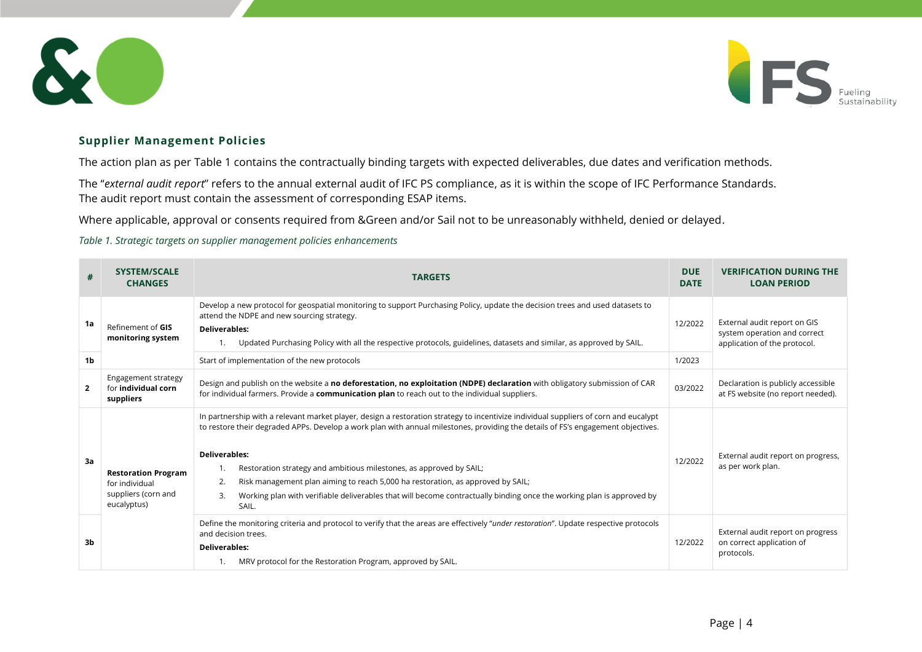



## **Supplier Management Policies**

The action plan as per [Table 1](#page-3-1) contains the contractually binding targets with expected deliverables, due dates and verification methods.

The "*external audit report*" refers to the annual external audit of IFC PS compliance, as it is within the scope of IFC Performance Standards. The audit report must contain the assessment of corresponding ESAP items.

Where applicable, approval or consents required from &Green and/or Sail not to be unreasonably withheld, denied or delayed.

<span id="page-3-1"></span>*Table 1. Strategic targets on supplier management policies enhancements*

<span id="page-3-0"></span>

| #              | <b>SYSTEM/SCALE</b><br><b>CHANGES</b>                                              | <b>TARGETS</b>                                                                                                                                                                                                                                                                                                                                                                                                                                                                                                                                                                                           | <b>DUE</b><br><b>DATE</b> | <b>VERIFICATION DURING THE</b><br><b>LOAN PERIOD</b>                                         |
|----------------|------------------------------------------------------------------------------------|----------------------------------------------------------------------------------------------------------------------------------------------------------------------------------------------------------------------------------------------------------------------------------------------------------------------------------------------------------------------------------------------------------------------------------------------------------------------------------------------------------------------------------------------------------------------------------------------------------|---------------------------|----------------------------------------------------------------------------------------------|
| 1a             | Refinement of GIS<br>monitoring system                                             | Develop a new protocol for geospatial monitoring to support Purchasing Policy, update the decision trees and used datasets to<br>attend the NDPE and new sourcing strategy.<br><b>Deliverables:</b><br>Updated Purchasing Policy with all the respective protocols, guidelines, datasets and similar, as approved by SAIL.                                                                                                                                                                                                                                                                               | 12/2022                   | External audit report on GIS<br>system operation and correct<br>application of the protocol. |
| 1 <sub>b</sub> |                                                                                    | Start of implementation of the new protocols                                                                                                                                                                                                                                                                                                                                                                                                                                                                                                                                                             | 1/2023                    |                                                                                              |
| $\overline{2}$ | Engagement strategy<br>for <b>individual corn</b><br>suppliers                     | Design and publish on the website a no deforestation, no exploitation (NDPE) declaration with obligatory submission of CAR<br>for individual farmers. Provide a <b>communication plan</b> to reach out to the individual suppliers.                                                                                                                                                                                                                                                                                                                                                                      | 03/2022                   | Declaration is publicly accessible<br>at FS website (no report needed).                      |
| 3a             | <b>Restoration Program</b><br>for individual<br>suppliers (corn and<br>eucalyptus) | In partnership with a relevant market player, design a restoration strategy to incentivize individual suppliers of corn and eucalypt<br>to restore their degraded APPs. Develop a work plan with annual milestones, providing the details of FS's engagement objectives.<br><b>Deliverables:</b><br>Restoration strategy and ambitious milestones, as approved by SAIL;<br>Risk management plan aiming to reach 5,000 ha restoration, as approved by SAIL;<br>2.<br>Working plan with verifiable deliverables that will become contractually binding once the working plan is approved by<br>3.<br>SAIL. | 12/2022                   | External audit report on progress,<br>as per work plan.                                      |
| 3b             |                                                                                    | Define the monitoring criteria and protocol to verify that the areas are effectively "under restoration". Update respective protocols<br>and decision trees.<br><b>Deliverables:</b><br>MRV protocol for the Restoration Program, approved by SAIL.                                                                                                                                                                                                                                                                                                                                                      | 12/2022                   | External audit report on progress<br>on correct application of<br>protocols.                 |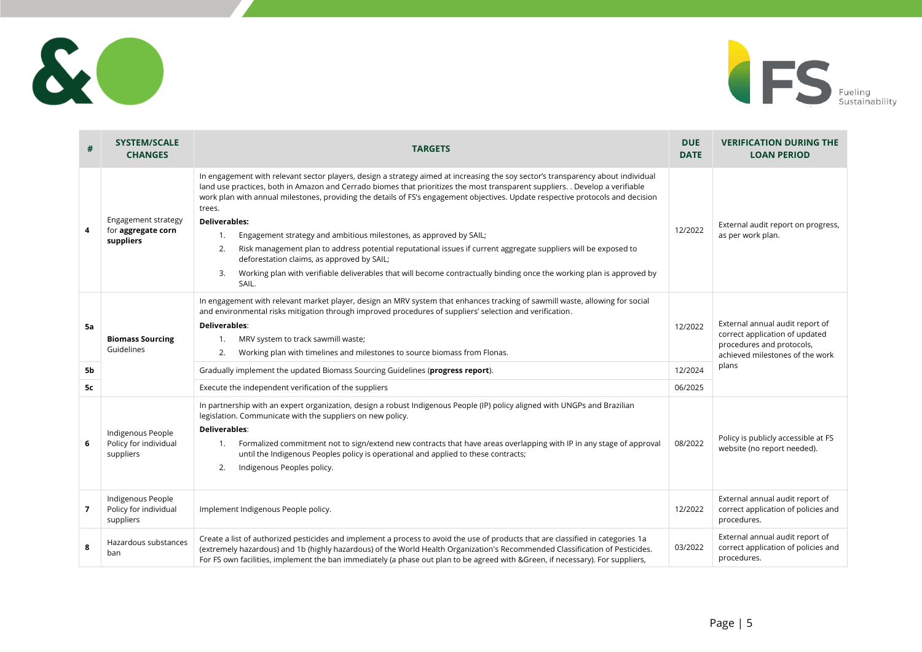



| #        | <b>SYSTEM/SCALE</b><br><b>CHANGES</b>                   | <b>TARGETS</b>                                                                                                                                                                                                                                                                                                                                                                                                                                                                                                                                                                                                                                                                                                                                                                                                                    | <b>DUE</b><br><b>DATE</b> | <b>VERIFICATION DURING THE</b><br><b>LOAN PERIOD</b>                                                                                       |
|----------|---------------------------------------------------------|-----------------------------------------------------------------------------------------------------------------------------------------------------------------------------------------------------------------------------------------------------------------------------------------------------------------------------------------------------------------------------------------------------------------------------------------------------------------------------------------------------------------------------------------------------------------------------------------------------------------------------------------------------------------------------------------------------------------------------------------------------------------------------------------------------------------------------------|---------------------------|--------------------------------------------------------------------------------------------------------------------------------------------|
| 4        | Engagement strategy<br>for aggregate corn<br>suppliers  | In engagement with relevant sector players, design a strategy aimed at increasing the soy sector's transparency about individual<br>land use practices, both in Amazon and Cerrado biomes that prioritizes the most transparent suppliers. . Develop a verifiable<br>work plan with annual milestones, providing the details of FS's engagement objectives. Update respective protocols and decision<br>trees.<br><b>Deliverables:</b><br>Engagement strategy and ambitious milestones, as approved by SAIL;<br>1.<br>Risk management plan to address potential reputational issues if current aggregate suppliers will be exposed to<br>2.<br>deforestation claims, as approved by SAIL;<br>Working plan with verifiable deliverables that will become contractually binding once the working plan is approved by<br>3.<br>SAIL. | 12/2022                   | External audit report on progress,<br>as per work plan.                                                                                    |
| 5a       | <b>Biomass Sourcing</b><br>Guidelines                   | In engagement with relevant market player, design an MRV system that enhances tracking of sawmill waste, allowing for social<br>and environmental risks mitigation through improved procedures of suppliers' selection and verification.<br>Deliverables:<br>MRV system to track sawmill waste;<br>1.<br>Working plan with timelines and milestones to source biomass from Flonas.<br>2.                                                                                                                                                                                                                                                                                                                                                                                                                                          | 12/2022                   | External annual audit report of<br>correct application of updated<br>procedures and protocols,<br>achieved milestones of the work<br>plans |
| 5b<br>5c |                                                         | Gradually implement the updated Biomass Sourcing Guidelines (progress report).<br>Execute the independent verification of the suppliers                                                                                                                                                                                                                                                                                                                                                                                                                                                                                                                                                                                                                                                                                           | 12/2024<br>06/2025        |                                                                                                                                            |
| 6        | Indigenous People<br>Policy for individual<br>suppliers | In partnership with an expert organization, design a robust Indigenous People (IP) policy aligned with UNGPs and Brazilian<br>legislation. Communicate with the suppliers on new policy.<br>Deliverables:<br>Formalized commitment not to sign/extend new contracts that have areas overlapping with IP in any stage of approval<br>1.<br>until the Indigenous Peoples policy is operational and applied to these contracts;<br>Indigenous Peoples policy.<br>2.                                                                                                                                                                                                                                                                                                                                                                  | 08/2022                   | Policy is publicly accessible at FS<br>website (no report needed).                                                                         |
| 7        | Indigenous People<br>Policy for individual<br>suppliers | Implement Indigenous People policy.                                                                                                                                                                                                                                                                                                                                                                                                                                                                                                                                                                                                                                                                                                                                                                                               | 12/2022                   | External annual audit report of<br>correct application of policies and<br>procedures.                                                      |
| 8        | Hazardous substances<br>ban                             | Create a list of authorized pesticides and implement a process to avoid the use of products that are classified in categories 1a<br>(extremely hazardous) and 1b (highly hazardous) of the World Health Organization's Recommended Classification of Pesticides.<br>For FS own facilities, implement the ban immediately (a phase out plan to be agreed with &Green, if necessary). For suppliers,                                                                                                                                                                                                                                                                                                                                                                                                                                | 03/2022                   | External annual audit report of<br>correct application of policies and<br>procedures.                                                      |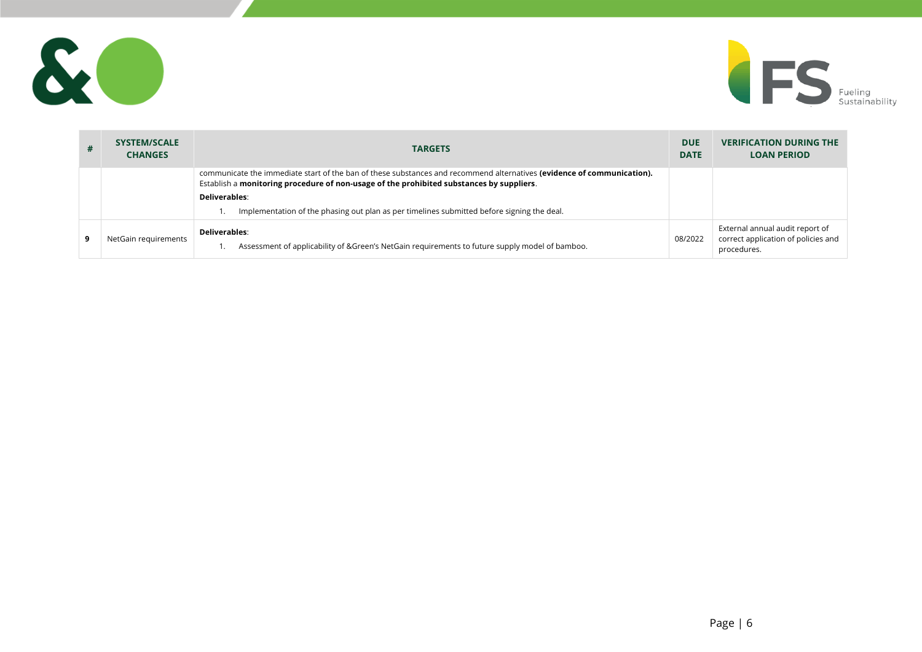



| # | <b>SYSTEM/SCALE</b><br><b>CHANGES</b> | <b>TARGETS</b>                                                                                                                                                                                                     | <b>DUE</b><br><b>DATE</b> | <b>VERIFICATION DURING THE</b><br><b>LOAN PERIOD</b>                                  |
|---|---------------------------------------|--------------------------------------------------------------------------------------------------------------------------------------------------------------------------------------------------------------------|---------------------------|---------------------------------------------------------------------------------------|
|   |                                       | communicate the immediate start of the ban of these substances and recommend alternatives (evidence of communication).<br>Establish a monitoring procedure of non-usage of the prohibited substances by suppliers. |                           |                                                                                       |
|   |                                       | Deliverables:                                                                                                                                                                                                      |                           |                                                                                       |
|   |                                       | Implementation of the phasing out plan as per timelines submitted before signing the deal.                                                                                                                         |                           |                                                                                       |
| 9 | NetGain requirements                  | Deliverables:<br>Assessment of applicability of &Green's NetGain requirements to future supply model of bamboo.                                                                                                    | 08/2022                   | External annual audit report of<br>correct application of policies and<br>procedures. |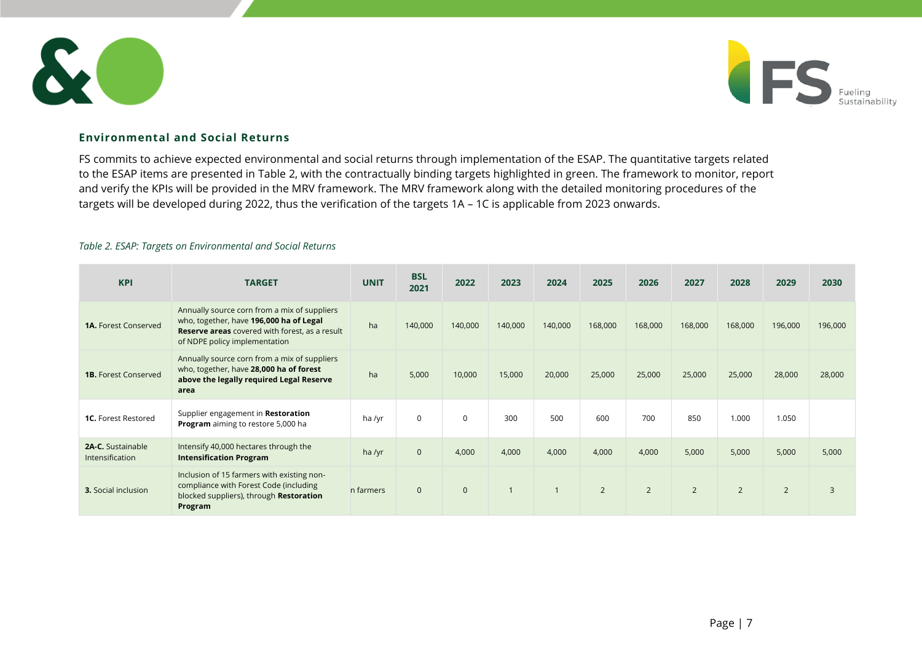



# **Environmental and Social Returns**

FS commits to achieve expected environmental and social returns through implementation of the ESAP. The quantitative targets related to the ESAP items are presented in [Table 2,](#page-6-0) with the contractually binding targets highlighted in green. The framework to monitor, report and verify the KPIs will be provided in the MRV framework. The MRV framework along with the detailed monitoring procedures of the targets will be developed during 2022, thus the verification of the targets 1A – 1C is applicable from 2023 onwards.

#### <span id="page-6-0"></span>*Table 2. ESAP: Targets on Environmental and Social Returns*

| <b>KPI</b>                                         | <b>TARGET</b>                                                                                                                                                                     | <b>UNIT</b> | <b>BSL</b><br>2021 | 2022         | 2023    | 2024    | 2025           | 2026           | 2027           | 2028           | 2029           | 2030    |
|----------------------------------------------------|-----------------------------------------------------------------------------------------------------------------------------------------------------------------------------------|-------------|--------------------|--------------|---------|---------|----------------|----------------|----------------|----------------|----------------|---------|
| <b>1A.</b> Forest Conserved                        | Annually source corn from a mix of suppliers<br>who, together, have 196,000 ha of Legal<br><b>Reserve areas</b> covered with forest, as a result<br>of NDPE policy implementation | ha          | 140,000            | 140,000      | 140,000 | 140,000 | 168,000        | 168,000        | 168,000        | 168,000        | 196,000        | 196,000 |
| <b>1B.</b> Forest Conserved                        | Annually source corn from a mix of suppliers<br>who, together, have 28,000 ha of forest<br>above the legally required Legal Reserve<br>area                                       | ha          | 5,000              | 10,000       | 15,000  | 20,000  | 25,000         | 25,000         | 25,000         | 25,000         | 28,000         | 28,000  |
| <b>1C.</b> Forest Restored                         | Supplier engagement in Restoration<br>Program aiming to restore 5,000 ha                                                                                                          | ha /yr      | $\mathbf 0$        | $\mathbf 0$  | 300     | 500     | 600            | 700            | 850            | 1.000          | 1.050          |         |
| <b>2A-C.</b> Sustainable<br><b>Intensification</b> | Intensify 40,000 hectares through the<br><b>Intensification Program</b>                                                                                                           | ha /yr      | $\mathbf 0$        | 4,000        | 4,000   | 4,000   | 4,000          | 4,000          | 5,000          | 5,000          | 5,000          | 5,000   |
| <b>3.</b> Social inclusion                         | Inclusion of 15 farmers with existing non-<br>compliance with Forest Code (including<br>blocked suppliers), through Restoration<br>Program                                        | n farmers   | $\mathbf 0$        | $\mathbf{0}$ |         |         | $\overline{2}$ | $\overline{2}$ | $\overline{2}$ | $\overline{2}$ | $\overline{2}$ | 3       |